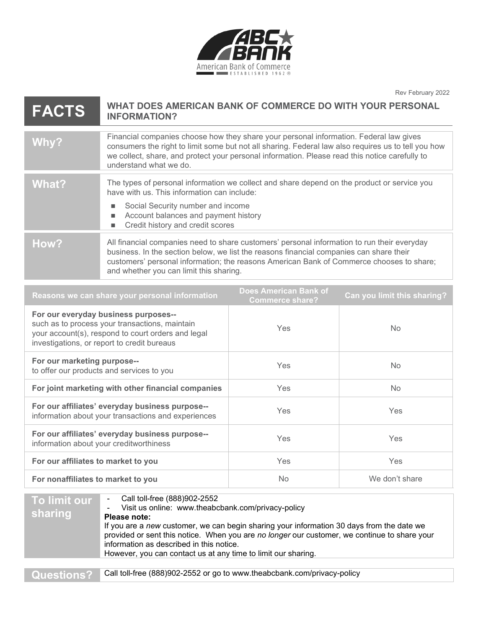

Rev February 2022

| <b>FACTS</b> | WHAT DOES AMERICAN BANK OF COMMERCE DO WITH YOUR PERSONAL<br><b>INFORMATION?</b>                                                                                                                                                                                                                                              |
|--------------|-------------------------------------------------------------------------------------------------------------------------------------------------------------------------------------------------------------------------------------------------------------------------------------------------------------------------------|
| Why?         | Financial companies choose how they share your personal information. Federal law gives<br>consumers the right to limit some but not all sharing. Federal law also requires us to tell you how<br>we collect, share, and protect your personal information. Please read this notice carefully to<br>understand what we do.     |
| What?        | The types of personal information we collect and share depend on the product or service you<br>have with us. This information can include:<br>Social Security number and income<br>Account balances and payment history<br>Credit history and credit scores                                                                   |
| How?         | All financial companies need to share customers' personal information to run their everyday<br>business. In the section below, we list the reasons financial companies can share their<br>customers' personal information; the reasons American Bank of Commerce chooses to share;<br>and whether you can limit this sharing. |

| Reasons we can share your personal information                                                                                                                                              | <b>Does American Bank of</b><br><b>Commerce share?</b> | Can you limit this sharing? |
|---------------------------------------------------------------------------------------------------------------------------------------------------------------------------------------------|--------------------------------------------------------|-----------------------------|
| For our everyday business purposes--<br>such as to process your transactions, maintain<br>your account(s), respond to court orders and legal<br>investigations, or report to credit bureaus | <b>Yes</b>                                             | No.                         |
| For our marketing purpose--<br>to offer our products and services to you                                                                                                                    | Yes                                                    | <b>No</b>                   |
| For joint marketing with other financial companies                                                                                                                                          | <b>Yes</b>                                             | <b>No</b>                   |
| For our affiliates' everyday business purpose--<br>information about your transactions and experiences                                                                                      | Yes                                                    | <b>Yes</b>                  |
| For our affiliates' everyday business purpose--<br>information about your creditworthiness                                                                                                  | Yes                                                    | Yes                         |
| For our affiliates to market to you                                                                                                                                                         | Yes                                                    | <b>Yes</b>                  |
| For nonaffiliates to market to you                                                                                                                                                          | <b>No</b>                                              | We don't share              |

| To limit our<br>sharing | Call toll-free (888)902-2552<br>Visit us online: www.theabcbank.com/privacy-policy<br>$\overline{\phantom{a}}$<br>Please note:<br>If you are a new customer, we can begin sharing your information 30 days from the date we<br>provided or sent this notice. When you are no longer our customer, we continue to share your<br>information as described in this notice.<br>However, you can contact us at any time to limit our sharing. |
|-------------------------|------------------------------------------------------------------------------------------------------------------------------------------------------------------------------------------------------------------------------------------------------------------------------------------------------------------------------------------------------------------------------------------------------------------------------------------|
|                         |                                                                                                                                                                                                                                                                                                                                                                                                                                          |
| <b>Questions?</b>       | Call toll-free (888)902-2552 or go to www.theabcbank.com/privacy-policy                                                                                                                                                                                                                                                                                                                                                                  |